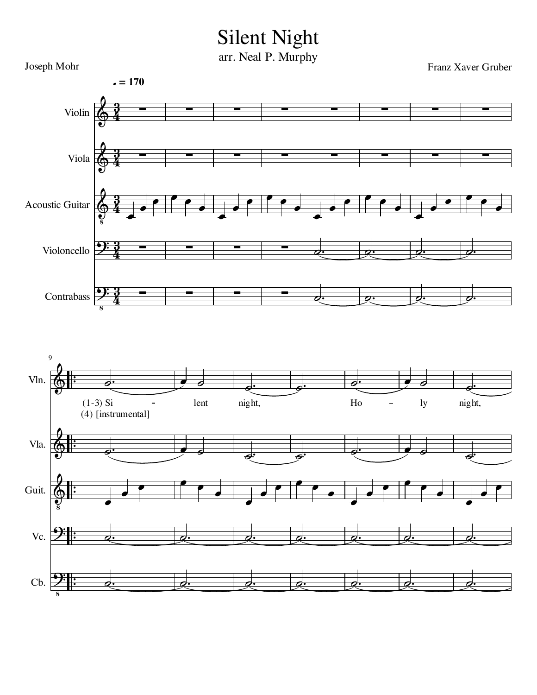## Silent Night

arr. Neal P. Murphy

Joseph Mohr Franz Xaver Gruber 9 Violin Viola Acoustic Guitar Violoncello  $\left\lfloor \frac{1}{2} \right\rfloor$ Vln. Contrabass Vla. Guit. Vc. Cb.  $\frac{1}{2}$  $\frac{1}{1}$  $\frac{1}{2}$  $\frac{1}{1}$  $\frac{1}{2}$  $\frac{1}{1}$  $\frac{1}{2}$  $\frac{1}{1}$  $\frac{1}{2}$  $\frac{1}{1}$  $\overline{\phantom{a}}$  $\overline{\epsilon}$  $\overline{\phantom{a}}$ r  $\overline{\phantom{a}}$  $\overline{\mathbf{C}}$  $\overline{\phantom{a}}$  $\overline{\phantom{a}}$ r  $\overline{\epsilon}$  $\overline{\phantom{a}}$  $\overline{\epsilon}$  $\overline{\phantom{a}}$  $\overline{\phantom{a}}$  $\frac{1}{2}$ r  $\overline{\epsilon}$  $\overline{\phantom{a}}$  $\overline{\epsilon}$  $\frac{1}{2}$  $\overline{\phantom{a}}$  $\overline{\phantom{a}}$  $\overline{\phantom{a}}$  $\overline{\epsilon}$  $\phi$ .  $\blacksquare$  $\overline{\epsilon}$  $\overline{\mathbf{S}}$  $\overline{\mathbf{z}}$  $\overline{\phantom{a}}$  $\overline{\phantom{a}}$  $\bullet$   $\bullet$   $\bullet$  $\frac{1}{\epsilon}$  $\overline{\phantom{a}}$ r  $\overline{\phantom{a}}$  $\overline{\phantom{a}}$  $\overline{\phantom{a}}$  $\frac{1}{2}$  $\boldsymbol{d}$  $\frac{1}{2}$  $\pm$ d  $\frac{1}{2}$  $\frac{1}{2}$  $\overline{\phantom{0}}$  $\overline{\phantom{a}}$   $\overline{\phantom{a}}$  $\overline{\phantom{a}}$  $\overline{\phantom{0}}$ r  $\overline{\epsilon}$  $\overline{\phantom{a}}$  $\overline{\epsilon}$  $\overline{\phantom{a}}$  $\overline{\phantom{a}}$  $\overline{\phantom{a}}$  $\overline{\epsilon}$  $\frac{1}{2}$  $\bullet$  0  $\frac{1}{2}$  $\overline{\mathbf{z}}$  $\overrightarrow{e}$  $\overline{\epsilon}$  $\overline{\phantom{a}}$  $\overline{\phantom{a}}$  $\overline{\phantom{a}}$  $\overline{\epsilon}$  $\overline{\phantom{a}}$  $\frac{1}{2}$  $\frac{1}{2}$  $\frac{1}{2}$  $\frac{1}{2}$  $\phi$ .  $\phi$ .  $\Phi$  $\Phi$ <u>):</u>  $\pmb{\phi}$  $\pmb{\phi}$ <u>):</u>  $\pmb{\phi}$ <u>):</u> <u>):</u> <u>วู</u>  $\frac{3}{4}$ <u>วู</u>  $\frac{3}{4}$ <u>วู</u>  $\frac{3}{4}$ <u>วู</u>  $\frac{3}{4}$ <u>วู</u>  $\frac{3}{4}$  1 1  $\overline{\phantom{0}}$  $\overline{\phantom{0}}$  $\overline{\phantom{0}}$  $\overline{\phantom{0}}$  $\overline{\phantom{0}}$  $\overline{\phantom{0}}$ <u>.</u> (4) [instrumental]  $(1-3)$  Si - lent night, Ho - ly night,  $= 170$  $\frac{1}{2}$  $\overline{\phantom{a}}$ :  $\overline{\phantom{a}}$  $\overline{\phantom{0}}$  $\overline{\phantom{a}}$  $\overline{\phantom{a}}$  $\overline{\phantom{a}}$  $\overline{\phantom{a}}$  $\overline{\phantom{a}}$  $\overline{\phantom{a}}$  $\overline{\phantom{a}}$ :  $\overline{\phantom{a}}$  $\overline{\phantom{a}}$ : :  $\cdot$  o.  $\overline{\phantom{a}}$  $\overline{\phantom{0}}$  $\overline{\phantom{0}}$  $\overline{\phantom{a}}$  $\overline{\phantom{a}}$  $\overline{\phantom{a}}$  $\overline{\phantom{a}}$  $\overline{\phantom{a}}$  $\overline{\phantom{a}}$  $\overline{\phantom{a}}$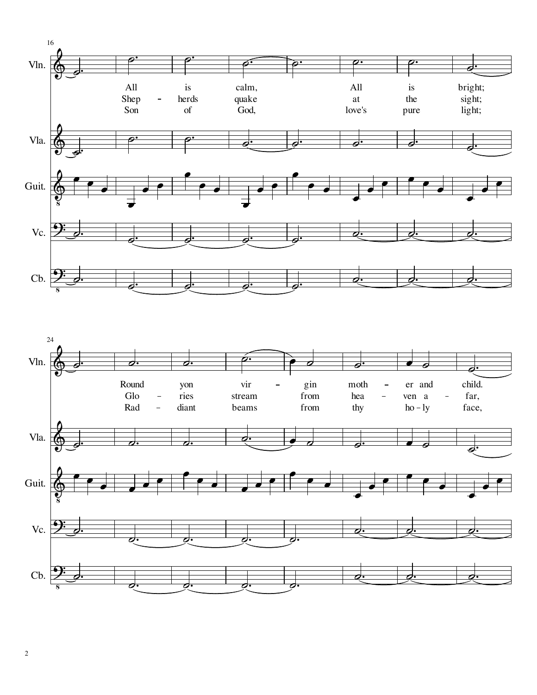



 $\overline{c}$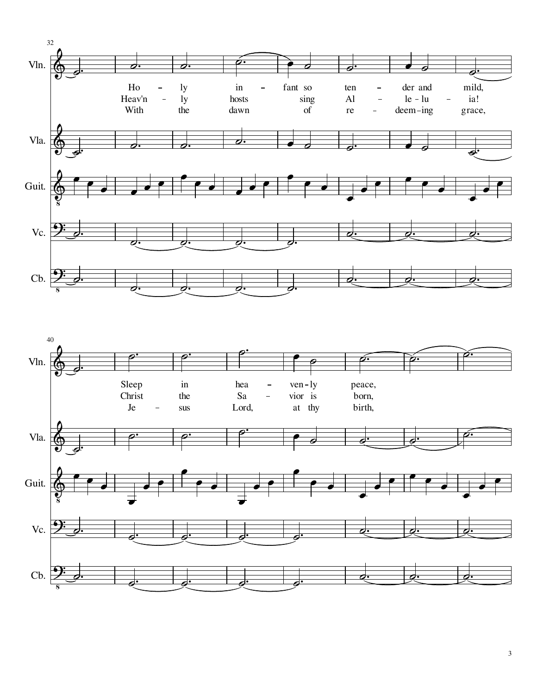